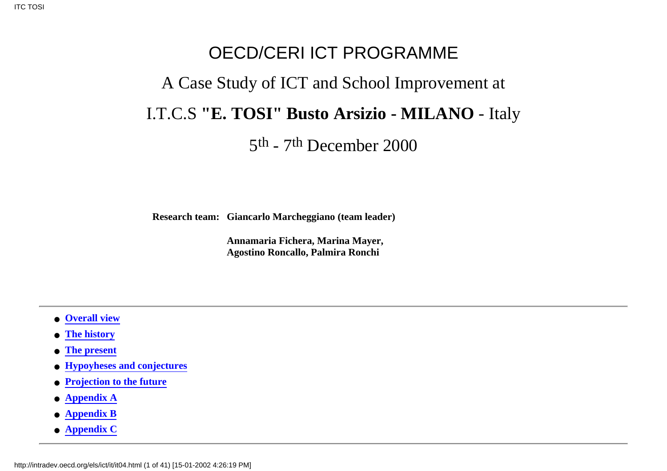# OECD/CERI ICT PROGRAMME A Case Study of ICT and School Improvement at I.T.C.S **"E. TOSI" Busto Arsizio - MILANO** - Italy

5th - 7th December 2000

**Research team: Giancarlo Marcheggiano (team leader)**

**Annamaria Fichera, Marina Mayer, Agostino Roncallo, Palmira Ronchi**

- <span id="page-0-1"></span>● **[Overall view](#page-0-0)**
- **[The history](#page-4-0)**
- **[The present](#page-6-0)**
- **[Hypoyheses and conjectures](#page-9-0)**
- **[Projection to the future](#page-20-0)**
- **[Appendix A](#page-21-0)**
- **[Appendix B](#page-22-0)**
- <span id="page-0-0"></span>● **[Appendix C](#page-39-0)**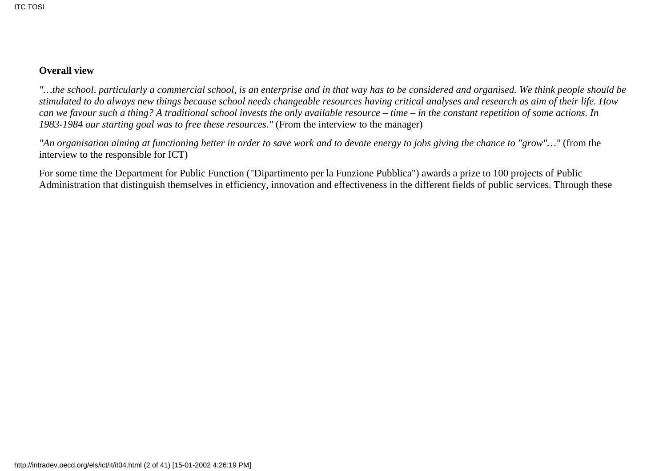#### **Overall view**

*"…the school, particularly a commercial school, is an enterprise and in that way has to be considered and organised. We think people should be stimulated to do always new things because school needs changeable resources having critical analyses and research as aim of their life. How can we favour such a thing? A traditional school invests the only available resource – time – in the constant repetition of some actions. In 1983-1984 our starting goal was to free these resources."* (From the interview to the manager)

*"An organisation aiming at functioning better in order to save work and to devote energy to jobs giving the chance to "grow"…"* (from the interview to the responsible for ICT)

For some time the Department for Public Function ("Dipartimento per la Funzione Pubblica") awards a prize to 100 projects of Public Administration that distinguish themselves in efficiency, innovation and effectiveness in the different fields of public services. Through these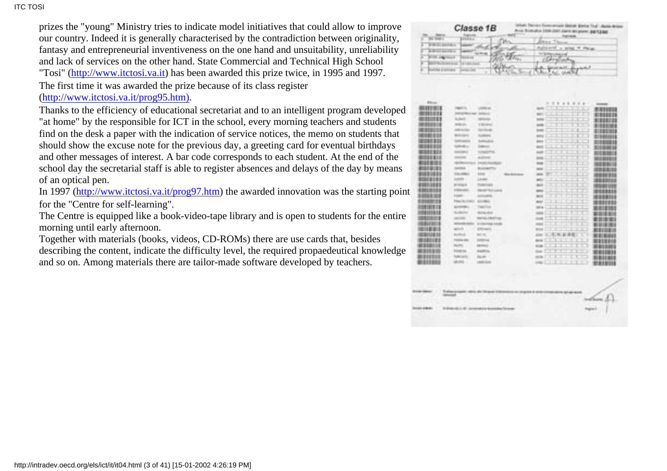#### **ITC TOSI**

prizes the "young" Ministry tries to indicate model initiatives that could allow to improve our country. Indeed it is generally characterised by the contradiction between originality, fantasy and entrepreneurial inventiveness on the one hand and unsuitability, unreliability and lack of services on the other hand. State Commercial and Technical High School "Tosi" ([http://www.itctosi.va.it](http://www.itctosi.va.it/)) has been awarded this prize twice, in 1995 and 1997.

The first time it was awarded the prize because of its class register ([http://www.itctosi.va.it/prog95.htm\).](http://www.itctosi.va.it/prog95.htm)

Thanks to the efficiency of educational secretariat and to an intelligent program developed "at home" by the responsible for ICT in the school, every morning teachers and students find on the desk a paper with the indication of service notices, the memo on students that should show the excuse note for the previous day, a greeting card for eventual birthdays and other messages of interest. A bar code corresponds to each student. At the end of the school day the secretarial staff is able to register absences and delays of the day by means of an optical pen.

In 1997 [\(http://www.itctosi.va.it/prog97.htm](http://www.itctosi.va.it/prog97.htm)) the awarded innovation was the starting point for the "Centre for self-learning".

The Centre is equipped like a book-video-tape library and is open to students for the entire morning until early afternoon.

Together with materials (books, videos, CD-ROMs) there are use cards that, besides describing the content, indicate the difficulty level, the required propaedeutical knowledge and so on. Among materials there are tailor-made software developed by teachers.

| <b>BARNET</b><br>÷<br>ı<br><b>Printed Service</b><br>a,<br><b>BUILDING</b><br>ij.<br>u. | <b>CARD A</b><br><br><b>Tariffer</b><br><b>SELECT</b><br><b>Trade</b>                                                                                                                                                                      | 'n.<br>alla<br><b>STATE</b><br><b>William</b><br>ы<br>Жеңд | <b>Basiline</b><br>distanced a screen in this as<br>The System Lakes and<br>CEANING<br>Custom<br><b>SALES</b><br><b>Birth</b><br>×<br>ALC: USAN NA | and P                                                                |
|-----------------------------------------------------------------------------------------|--------------------------------------------------------------------------------------------------------------------------------------------------------------------------------------------------------------------------------------------|------------------------------------------------------------|----------------------------------------------------------------------------------------------------------------------------------------------------|----------------------------------------------------------------------|
|                                                                                         | ۰                                                                                                                                                                                                                                          |                                                            |                                                                                                                                                    |                                                                      |
| <b>Billian</b><br><b>ATTITUDE</b><br>.<br>ш                                             | <b>PERSONAL</b><br>Literature.<br><b>DESCRIPTION CORP. DEPARTMENT</b><br><b>Business</b><br><b>William</b><br><b>MARCHER</b><br>PRODUCT<br>LEWIS CORPORATION<br><b>Barristo alla</b>                                                       |                                                            | <b></b><br><b>GRANDELL</b><br><b>Barriet</b><br><b>Links</b>                                                                                       | <b><i>Charles Co.</i></b><br><b>BEERED</b><br>н                      |
| <br><br>                                                                                | Williams<br><b>Buddhist</b><br>behinder<br><b>School College</b><br><b>SERVELL</b><br>Departure<br><b>AAAAA</b> H<br>and Print<br><b>ISSUE</b><br>contract<br><b>ALCOHOL:</b><br>reaches come in the seals.                                |                                                            | <b>Barbara</b><br><b>Service</b><br><b>Links</b><br><b>COLOR</b>                                                                                   | <b>BERTH</b><br>m<br>F<br><br>m                                      |
| <b><i><u>BRITING</u></i></b><br><b>MARINEZIA</b><br>中世<br>œ<br><br>499919101<br>推理      | <b>Section</b><br><b>Business File</b><br>cines conduct<br><b>SOM</b><br>marin.<br><b>LANKS</b><br><b>STATISTICS</b><br><b><i>Distances</i></b><br><b>Controller controller</b><br><b>CONSTRACTOR</b>                                      |                                                            | <b>COLOR</b><br><b>BC</b><br><b>STORY</b><br><b>SHOT</b><br>-<br><b>ALC</b><br>w<br><b>COMME</b>                                                   | <b>STATISTICS</b><br>111111111<br>I<br>ᇽ<br><b>THE REAL PRO</b><br>÷ |
| 田目<br><b>THE R</b><br><br>. .                                                           | <b>COMMERCIAL</b><br>continuations.<br>Free: Inches<br>49-14039-1-120-2<br><b>Scribble Block</b><br><b>Test Fire</b><br><b>HURSEY</b><br>distances.<br><b>Bill Fair P Britt Town</b><br>continued.<br>consideration<br>TWO SHOULD FINISHED |                                                            | <b>NOTE</b><br>۰<br><b>Black</b><br><b>JEELA</b><br><b>COLOR</b><br><b>STATE</b>                                                                   | <br>面目<br><b>THE REAL</b>                                            |
| .<br><b>DESCRIPTION</b><br>m<br>ш<br>言語<br>1111111                                      | <b>STORICA</b><br>agements of<br>Brittings<br><b>Hall Hall</b><br>Travelling copy :<br><b>STEEL</b><br><b>Barter</b><br><b>ACRES</b><br><b>Scott Corp.</b><br><b>CONTRACTOR</b>                                                            |                                                            | <b>COLOR</b><br><b>BUT</b><br><b>GRANDED</b><br><b>COLLEGE</b><br><b>Basic</b>                                                                     | 新演员<br><b>1979</b><br>ш<br>. .                                       |
| <b>BLEEDING</b><br>                                                                     | <b>Toky Leifer</b><br><b>COLLARS CO.</b><br><b>URLIMED </b><br>Label Chief                                                                                                                                                                 |                                                            | pining.<br><b>DOM:</b>                                                                                                                             | π<br>100101-010<br>m<br>田田<br>Ш                                      |
| <b>DOLL LEGAL</b>                                                                       | <b>IR entrance</b><br><b>CONTRACTOR</b>                                                                                                                                                                                                    | 1999 1991 91                                               | 1918-18-18                                                                                                                                         | the street came comments<br><b>North Books</b>                       |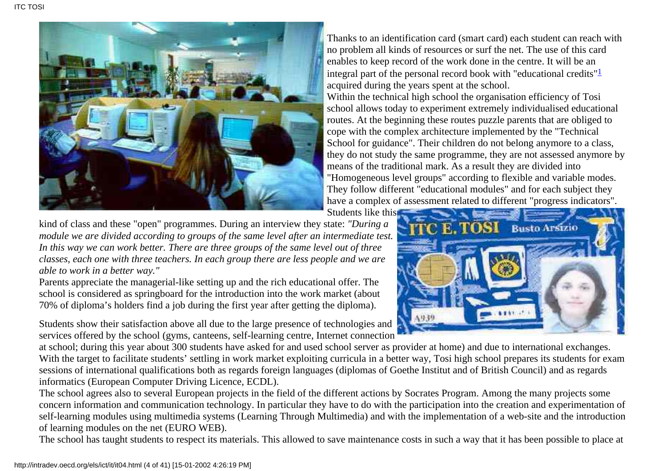<span id="page-3-0"></span>

Thanks to an identification card (smart card) each student can reach with no problem all kinds of resources or surf the net. The use of this card enables to keep record of the work done in the centre. It will be an integral part of the personal record book with "educational credits" $\frac{1}{2}$ acquired during the years spent at the school.

Within the technical high school the organisation efficiency of Tosi school allows today to experiment extremely individualised educational routes. At the beginning these routes puzzle parents that are obliged to cope with the complex architecture implemented by the "Technical School for guidance". Their children do not belong anymore to a class, they do not study the same programme, they are not assessed anymore by means of the traditional mark. As a result they are divided into "Homogeneous level groups" according to flexible and variable modes. They follow different "educational modules" and for each subject they have a complex of assessment related to different "progress indicators".

Students like this

kind of class and these "open" programmes. During an interview they state: *"During a module we are divided according to groups of the same level after an intermediate test. In this way we can work better. There are three groups of the same level out of three classes, each one with three teachers. In each group there are less people and we are able to work in a better way."*

Parents appreciate the managerial-like setting up and the rich educational offer. The school is considered as springboard for the introduction into the work market (about 70% of diploma's holders find a job during the first year after getting the diploma).

Students show their satisfaction above all due to the large presence of technologies and services offered by the school (gyms, canteens, self-learning centre, Internet connection

at school; during this year about 300 students have asked for and used school server as provider at home) and due to international exchanges. With the target to facilitate students' settling in work market exploiting curricula in a better way, Tosi high school prepares its students for exam sessions of international qualifications both as regards foreign languages (diplomas of Goethe Institut and of British Council) and as regards informatics (European Computer Driving Licence, ECDL).

The school agrees also to several European projects in the field of the different actions by Socrates Program. Among the many projects some concern information and communication technology. In particular they have to do with the participation into the creation and experimentation of self-learning modules using multimedia systems (Learning Through Multimedia) and with the implementation of a web-site and the introduction of learning modules on the net (EURO WEB).

The school has taught students to respect its materials. This allowed to save maintenance costs in such a way that it has been possible to place at

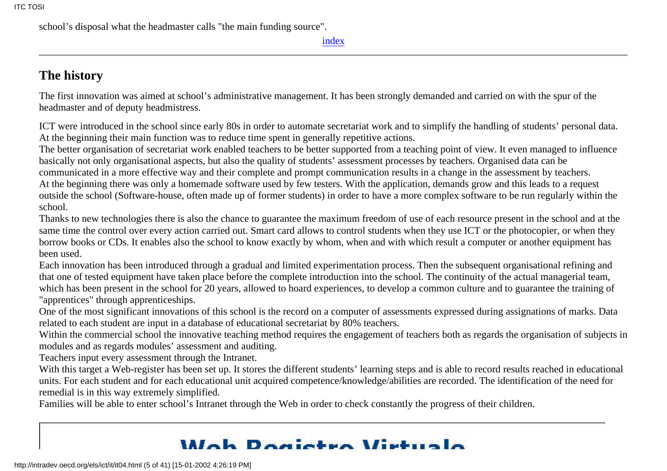school's disposal what the headmaster calls "the main funding source".

[index](#page-0-1)

## <span id="page-4-0"></span>**The history**

The first innovation was aimed at school's administrative management. It has been strongly demanded and carried on with the spur of the headmaster and of deputy headmistress.

ICT were introduced in the school since early 80s in order to automate secretariat work and to simplify the handling of students' personal data. At the beginning their main function was to reduce time spent in generally repetitive actions.

The better organisation of secretariat work enabled teachers to be better supported from a teaching point of view. It even managed to influence basically not only organisational aspects, but also the quality of students' assessment processes by teachers. Organised data can be communicated in a more effective way and their complete and prompt communication results in a change in the assessment by teachers. At the beginning there was only a homemade software used by few testers. With the application, demands grow and this leads to a request outside the school (Software-house, often made up of former students) in order to have a more complex software to be run regularly within the school.

Thanks to new technologies there is also the chance to guarantee the maximum freedom of use of each resource present in the school and at the same time the control over every action carried out. Smart card allows to control students when they use ICT or the photocopier, or when they borrow books or CDs. It enables also the school to know exactly by whom, when and with which result a computer or another equipment has been used.

Each innovation has been introduced through a gradual and limited experimentation process. Then the subsequent organisational refining and that one of tested equipment have taken place before the complete introduction into the school. The continuity of the actual managerial team, which has been present in the school for 20 years, allowed to hoard experiences, to develop a common culture and to guarantee the training of "apprentices" through apprenticeships.

One of the most significant innovations of this school is the record on a computer of assessments expressed during assignations of marks. Data related to each student are input in a database of educational secretariat by 80% teachers.

Within the commercial school the innovative teaching method requires the engagement of teachers both as regards the organisation of subjects in modules and as regards modules' assessment and auditing.

Teachers input every assessment through the Intranet.

With this target a Web-register has been set up. It stores the different students' learning steps and is able to record results reached in educational units. For each student and for each educational unit acquired competence/knowledge/abilities are recorded. The identification of the need for remedial is in this way extremely simplified.

Families will be able to enter school's Intranet through the Web in order to check constantly the progress of their children.

## Wah Dogjetre Wirtual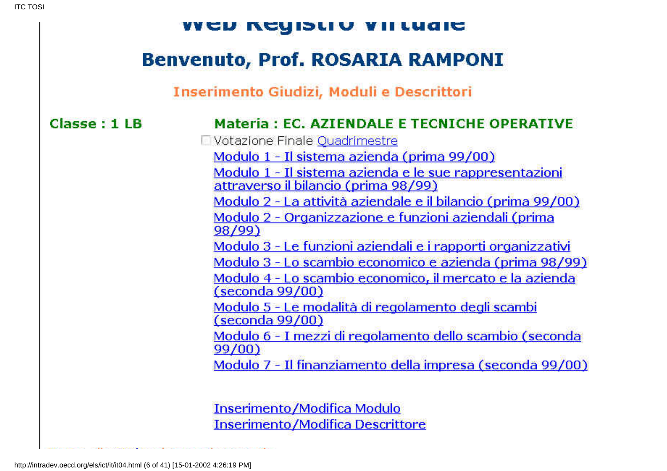| <b>THE READMENT OF STRAIGHT</b>         |                                                                                                                                                                                                                                                                                                                                                                                                                                                                                                                                                                                                                                                                                                                                                                                                                                                                             |  |  |
|-----------------------------------------|-----------------------------------------------------------------------------------------------------------------------------------------------------------------------------------------------------------------------------------------------------------------------------------------------------------------------------------------------------------------------------------------------------------------------------------------------------------------------------------------------------------------------------------------------------------------------------------------------------------------------------------------------------------------------------------------------------------------------------------------------------------------------------------------------------------------------------------------------------------------------------|--|--|
| <b>Benvenuto, Prof. ROSARIA RAMPONI</b> |                                                                                                                                                                                                                                                                                                                                                                                                                                                                                                                                                                                                                                                                                                                                                                                                                                                                             |  |  |
|                                         | Inserimento Giudizi, Moduli e Descrittori                                                                                                                                                                                                                                                                                                                                                                                                                                                                                                                                                                                                                                                                                                                                                                                                                                   |  |  |
| Classe: 1LB                             | <b>Materia: EC. AZIENDALE E TECNICHE OPERATIVE</b><br>□ Votazione Finale <u>Quadrimestre</u><br>Modulo 1 - Il sistema azienda (prima 99/00)<br>Modulo 1 - Il sistema azienda e le sue rappresentazioni<br>attraverso il bilancio (prima 98/99)<br>Modulo 2 - La attività aziendale e il bilancio (prima 99/00)<br>Modulo 2 - Organizzazione e funzioni aziendali (prima<br>98/99)<br>Modulo 3 - Le funzioni aziendali e i rapporti organizzativi<br>Modulo 3 - Lo scambio economico e azienda (prima 98/99)<br><u> Modulo 4 - Lo scambio economico, il mercato e la azienda</u><br><u>(seconda 99/00)</u><br><u> Modulo 5 - Le modalità di regolamento degli scambi</u><br>(seconda 99/00)<br>Modulo 6 - I mezzi di regolamento dello scambio (seconda<br>99/00)<br><u> Modulo 7 - Il finanziamento della impresa (seconda 99/00)</u><br><b>Inserimento/Modifica Modulo</b> |  |  |
|                                         | <b>Inserimento/Modifica Descrittore</b>                                                                                                                                                                                                                                                                                                                                                                                                                                                                                                                                                                                                                                                                                                                                                                                                                                     |  |  |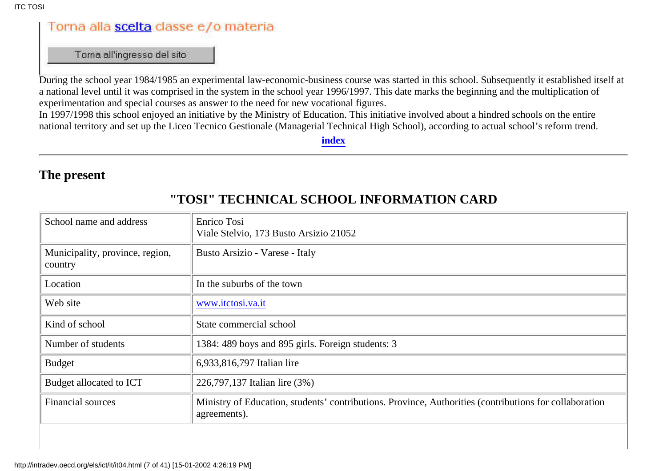## Torna alla scelta classe e/o materia

Torna all'ingresso del sito

During the school year 1984/1985 an experimental law-economic-business course was started in this school. Subsequently it established itself at a national level until it was comprised in the system in the school year 1996/1997. This date marks the beginning and the multiplication of experimentation and special courses as answer to the need for new vocational figures.

In 1997/1998 this school enjoyed an initiative by the Ministry of Education. This initiative involved about a hindred schools on the entire national territory and set up the Liceo Tecnico Gestionale (Managerial Technical High School), according to actual school's reform trend.

**[index](#page-0-1)**

#### <span id="page-6-0"></span>**The present**

| School name and address                    | Enrico Tosi<br>Viale Stelvio, 173 Busto Arsizio 21052                                                                  |
|--------------------------------------------|------------------------------------------------------------------------------------------------------------------------|
| Municipality, province, region,<br>country | Busto Arsizio - Varese - Italy                                                                                         |
| Location                                   | In the suburbs of the town                                                                                             |
| Web site                                   | www.itctosi.va.it                                                                                                      |
| Kind of school                             | State commercial school                                                                                                |
| Number of students                         | 1384: 489 boys and 895 girls. Foreign students: 3                                                                      |
| <b>Budget</b>                              | 6,933,816,797 Italian lire                                                                                             |
| Budget allocated to ICT                    | 226,797,137 Italian lire (3%)                                                                                          |
| <b>Financial sources</b>                   | Ministry of Education, students' contributions. Province, Authorities (contributions for collaboration<br>agreements). |
|                                            |                                                                                                                        |

#### **"TOSI" TECHNICAL SCHOOL INFORMATION CARD**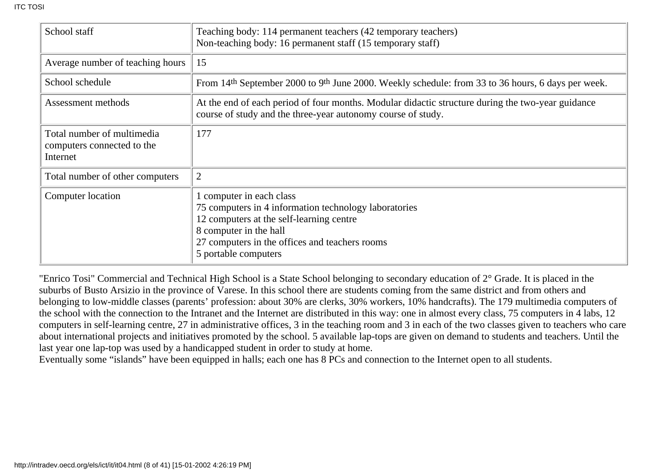| School staff                                                         | Teaching body: 114 permanent teachers (42 temporary teachers)<br>Non-teaching body: 16 permanent staff (15 temporary staff)                                                                                                     |
|----------------------------------------------------------------------|---------------------------------------------------------------------------------------------------------------------------------------------------------------------------------------------------------------------------------|
| Average number of teaching hours                                     | 15                                                                                                                                                                                                                              |
| School schedule                                                      | From 14 <sup>th</sup> September 2000 to 9 <sup>th</sup> June 2000. Weekly schedule: from 33 to 36 hours, 6 days per week.                                                                                                       |
| Assessment methods                                                   | At the end of each period of four months. Modular didactic structure during the two-year guidance<br>course of study and the three-year autonomy course of study.                                                               |
| Total number of multimedia<br>computers connected to the<br>Internet | 177                                                                                                                                                                                                                             |
| Total number of other computers                                      | $\overline{2}$                                                                                                                                                                                                                  |
| Computer location                                                    | computer in each class<br>75 computers in 4 information technology laboratories<br>12 computers at the self-learning centre<br>8 computer in the hall<br>27 computers in the offices and teachers rooms<br>5 portable computers |

"Enrico Tosi" Commercial and Technical High School is a State School belonging to secondary education of 2° Grade. It is placed in the suburbs of Busto Arsizio in the province of Varese. In this school there are students coming from the same district and from others and belonging to low-middle classes (parents' profession: about 30% are clerks, 30% workers, 10% handcrafts). The 179 multimedia computers of the school with the connection to the Intranet and the Internet are distributed in this way: one in almost every class, 75 computers in 4 labs, 12 computers in self-learning centre, 27 in administrative offices, 3 in the teaching room and 3 in each of the two classes given to teachers who care about international projects and initiatives promoted by the school. 5 available lap-tops are given on demand to students and teachers. Until the last year one lap-top was used by a handicapped student in order to study at home.

Eventually some "islands" have been equipped in halls; each one has 8 PCs and connection to the Internet open to all students.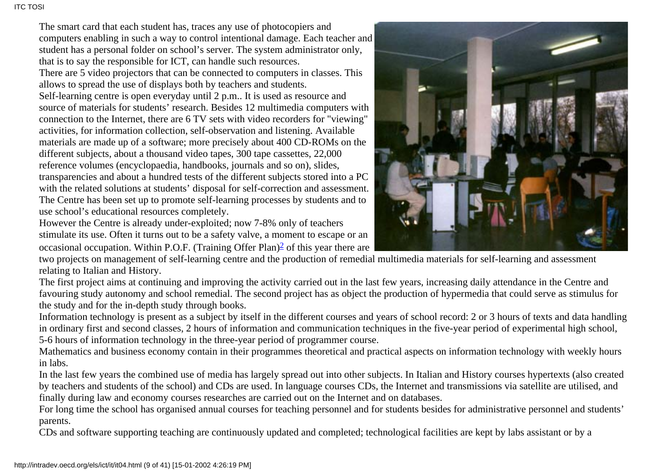The smart card that each student has, traces any use of photocopiers and computers enabling in such a way to control intentional damage. Each teacher and student has a personal folder on school's server. The system administrator only, that is to say the responsible for ICT, can handle such resources. There are 5 video projectors that can be connected to computers in classes. This allows to spread the use of displays both by teachers and students. Self-learning centre is open everyday until 2 p.m.. It is used as resource and source of materials for students' research. Besides 12 multimedia computers with connection to the Internet, there are 6 TV sets with video recorders for "viewing" activities, for information collection, self-observation and listening. Available materials are made up of a software; more precisely about 400 CD-ROMs on the different subjects, about a thousand video tapes, 300 tape cassettes, 22,000 reference volumes (encyclopaedia, handbooks, journals and so on), slides, transparencies and about a hundred tests of the different subjects stored into a PC with the related solutions at students' disposal for self-correction and assessment. The Centre has been set up to promote self-learning processes by students and to use school's educational resources completely.

<span id="page-8-0"></span>However the Centre is already under-exploited; now 7-8% only of teachers stimulate its use. Often it turns out to be a safety valve, a moment to escape or an occasional occupation. Within P.O.F. (Training Offer Plan[\)2](#page-39-2) of this year there are



two projects on management of self-learning centre and the production of remedial multimedia materials for self-learning and assessment relating to Italian and History.

The first project aims at continuing and improving the activity carried out in the last few years, increasing daily attendance in the Centre and favouring study autonomy and school remedial. The second project has as object the production of hypermedia that could serve as stimulus for the study and for the in-depth study through books.

Information technology is present as a subject by itself in the different courses and years of school record: 2 or 3 hours of texts and data handling in ordinary first and second classes, 2 hours of information and communication techniques in the five-year period of experimental high school, 5-6 hours of information technology in the three-year period of programmer course.

Mathematics and business economy contain in their programmes theoretical and practical aspects on information technology with weekly hours in labs.

In the last few years the combined use of media has largely spread out into other subjects. In Italian and History courses hypertexts (also created by teachers and students of the school) and CDs are used. In language courses CDs, the Internet and transmissions via satellite are utilised, and finally during law and economy courses researches are carried out on the Internet and on databases.

For long time the school has organised annual courses for teaching personnel and for students besides for administrative personnel and students' parents.

CDs and software supporting teaching are continuously updated and completed; technological facilities are kept by labs assistant or by a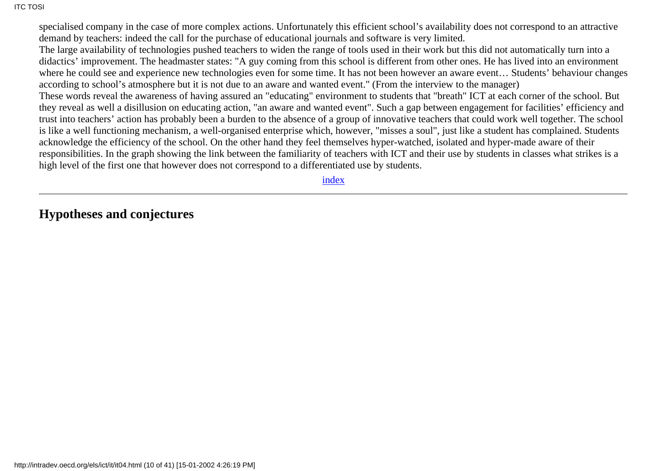specialised company in the case of more complex actions. Unfortunately this efficient school's availability does not correspond to an attractive demand by teachers: indeed the call for the purchase of educational journals and software is very limited.

The large availability of technologies pushed teachers to widen the range of tools used in their work but this did not automatically turn into a didactics' improvement. The headmaster states: "A guy coming from this school is different from other ones. He has lived into an environment where he could see and experience new technologies even for some time. It has not been however an aware event… Students' behaviour changes according to school's atmosphere but it is not due to an aware and wanted event." (From the interview to the manager)

These words reveal the awareness of having assured an "educating" environment to students that "breath" ICT at each corner of the school. But they reveal as well a disillusion on educating action, "an aware and wanted event". Such a gap between engagement for facilities' efficiency and trust into teachers' action has probably been a burden to the absence of a group of innovative teachers that could work well together. The school is like a well functioning mechanism, a well-organised enterprise which, however, "misses a soul", just like a student has complained. Students acknowledge the efficiency of the school. On the other hand they feel themselves hyper-watched, isolated and hyper-made aware of their responsibilities. In the graph showing the link between the familiarity of teachers with ICT and their use by students in classes what strikes is a high level of the first one that however does not correspond to a differentiated use by students.

[index](#page-0-1)

<span id="page-9-0"></span>**Hypotheses and conjectures**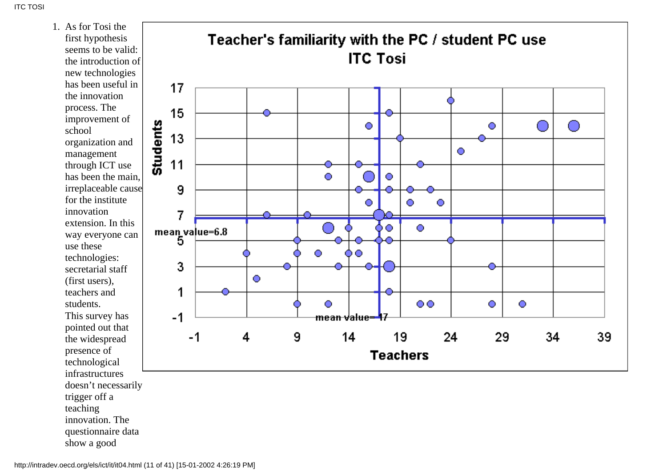As for Tosi the 1. first hypothesis seems to be valid: the introduction of new technologies has been useful in the innovation process. The improvement of school organization and management through ICT use has been the main, irreplaceable cause for the institute innovation extension. In this way everyone can use these technologies: secretarial staff (first users), teachers and students. This survey has pointed out that the widespread presence of technological infrastructures doesn't necessarily trigger off a teaching innovation. The questionnaire data show a good

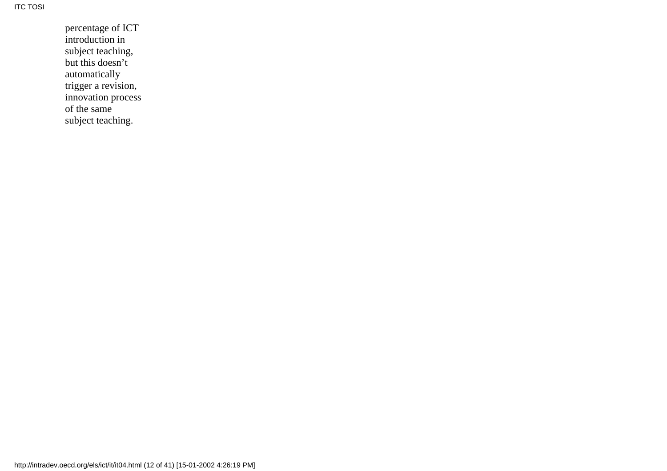percentage of ICT introduction in subject teaching, but this doesn't automatically trigger a revision, innovation process of the same subject teaching.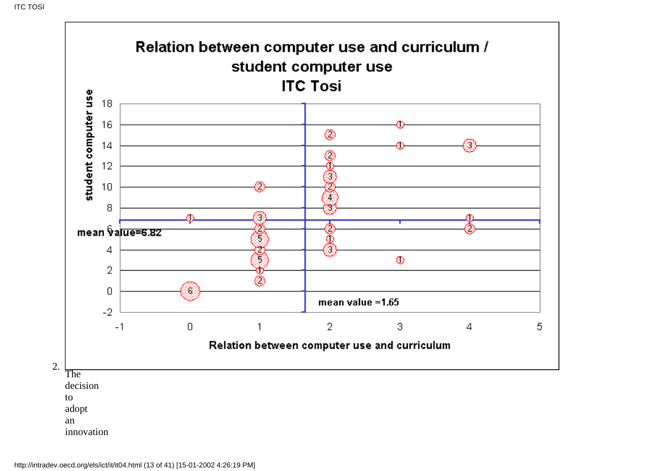

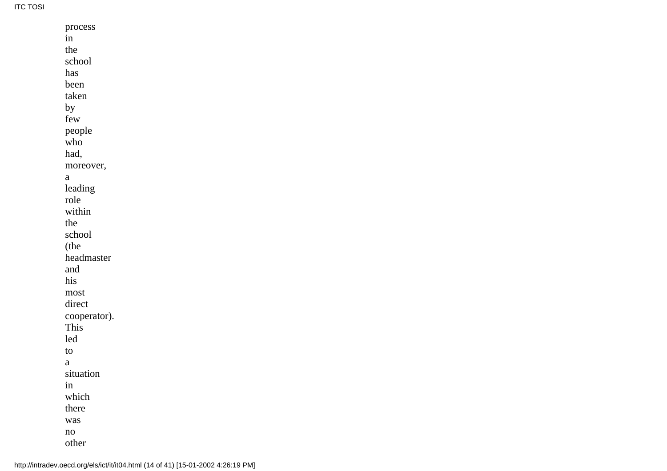**ITC TOSI** 

| process      |  |  |
|--------------|--|--|
| in           |  |  |
| the          |  |  |
| school       |  |  |
| has          |  |  |
| been         |  |  |
| taken        |  |  |
| by           |  |  |
| few          |  |  |
| people       |  |  |
| who          |  |  |
| had,         |  |  |
| moreover,    |  |  |
| a            |  |  |
| leading      |  |  |
| role         |  |  |
| within       |  |  |
| the          |  |  |
| school       |  |  |
| (the         |  |  |
| headmaster   |  |  |
| and          |  |  |
| his          |  |  |
| most         |  |  |
| direct       |  |  |
| cooperator). |  |  |
| This         |  |  |
| led          |  |  |
| to           |  |  |
| a            |  |  |
| situation    |  |  |
| in           |  |  |
| which        |  |  |
| there        |  |  |
| was          |  |  |
| no           |  |  |
| other        |  |  |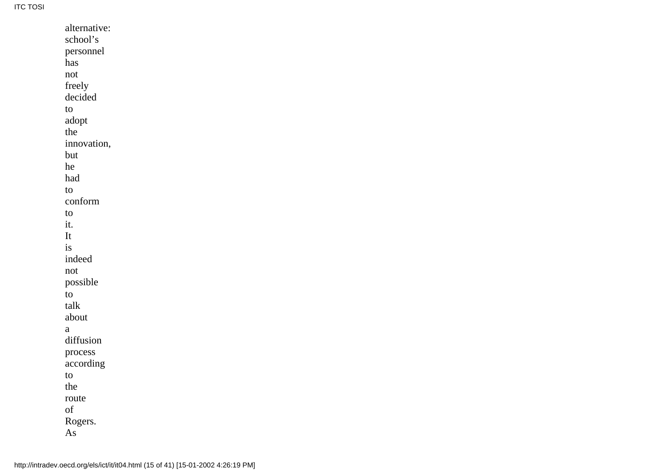| alternative: |
|--------------|
| school's     |
| personnel    |
| has          |
| not          |
| freely       |
| decided      |
| to           |
| adopt        |
| the          |
| innovation,  |
| but          |
| he           |
| had          |
| to           |
| conform      |
| to           |
| it.          |
| It           |
| is           |
| indeed       |
| not          |
| possible     |
| to           |
| talk         |
| about        |
| а            |
| diffusion    |
| process      |
| according    |
| to           |
| the          |
| route        |
| of           |
| Rogers.      |
| As           |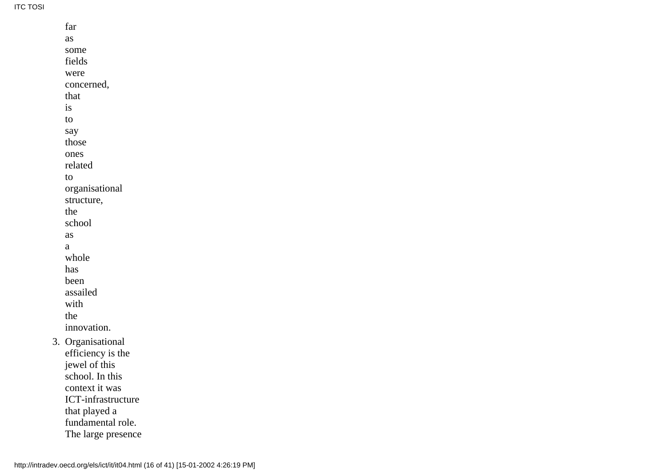ITC TOSI

| far                       |
|---------------------------|
| as                        |
| some                      |
| fields                    |
| were                      |
| concerned,                |
| that                      |
| is                        |
| to                        |
| say                       |
| those                     |
| ones                      |
| related                   |
| to                        |
| organisational            |
| structure,                |
| the                       |
| school                    |
| as                        |
| a                         |
| whole                     |
| has                       |
| been                      |
| assailed                  |
| with                      |
| the                       |
| innovation.               |
| 3. Organisational         |
| efficiency is the         |
| jewel of this             |
| school. In this           |
| context it was            |
| <b>ICT-infrastructure</b> |
| that played a             |
| fundamental role.         |
| The large presence        |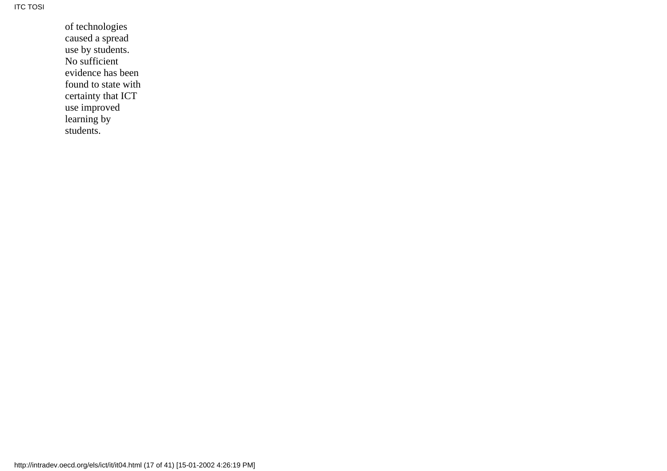of technologies caused a spread use by students. No sufficient evidence has been found to state with certainty that ICT use improved learning by students.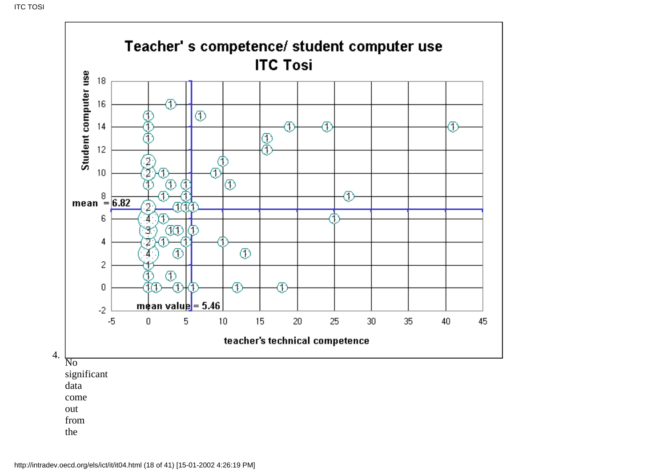

from

the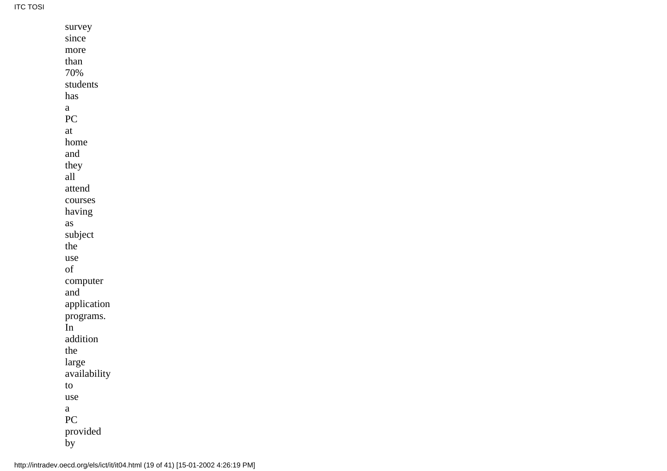ITC TOSI

| survey       |
|--------------|
| since        |
| more         |
| than         |
| 70%          |
| students     |
| has          |
| a            |
| PC           |
| at           |
| home         |
| and          |
| they         |
| all          |
| attend       |
| courses      |
| having       |
| as           |
| subject      |
| the          |
| use          |
| of           |
| computer     |
| and          |
| application  |
| programs.    |
| In           |
| addition     |
| the          |
| large        |
| availability |
| to           |
| use          |
| a            |
| PC           |
| provided     |
| by           |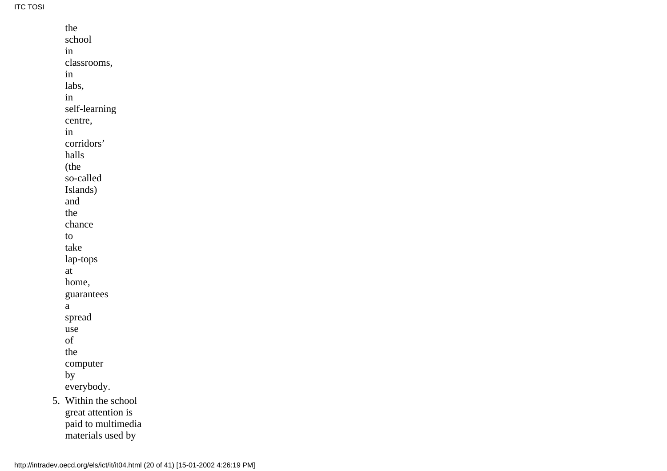ITC TOSI

|    | the                |
|----|--------------------|
|    | school             |
|    | in                 |
|    | classrooms,        |
|    | in                 |
|    | labs,              |
|    | in                 |
|    | self-learning      |
|    | centre,            |
|    | in                 |
|    | corridors'         |
|    | halls              |
|    | (the               |
|    | so-called          |
|    | Islands)           |
|    | and                |
|    | the                |
|    | chance             |
|    | to                 |
|    | take               |
|    | lap-tops           |
|    | at                 |
|    | home,              |
|    | guarantees         |
|    | a                  |
|    | spread             |
|    | use                |
|    | of                 |
|    | the                |
|    | computer           |
|    | by                 |
|    | everybody.         |
| 5. | Within the school  |
|    | great attention is |
|    | paid to multimedia |
|    | materials used by  |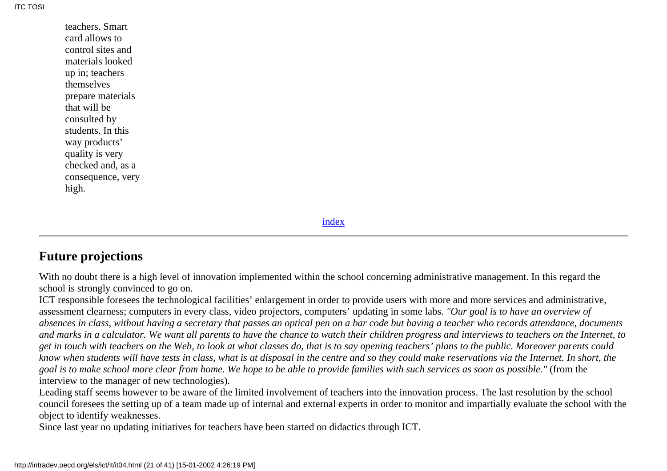teachers. Smart card allows to control sites and materials looked up in; teachers themselves prepare materials that will be consulted by students. In this way products' quality is very checked and, as a consequence, very high.

[index](#page-0-1)

#### <span id="page-20-0"></span>**Future projections**

With no doubt there is a high level of innovation implemented within the school concerning administrative management. In this regard the school is strongly convinced to go on.

ICT responsible foresees the technological facilities' enlargement in order to provide users with more and more services and administrative, assessment clearness; computers in every class, video projectors, computers' updating in some labs. *"Our goal is to have an overview of absences in class, without having a secretary that passes an optical pen on a bar code but having a teacher who records attendance, documents and marks in a calculator. We want all parents to have the chance to watch their children progress and interviews to teachers on the Internet, to get in touch with teachers on the Web, to look at what classes do, that is to say opening teachers' plans to the public. Moreover parents could know when students will have tests in class, what is at disposal in the centre and so they could make reservations via the Internet. In short, the goal is to make school more clear from home. We hope to be able to provide families with such services as soon as possible."* (from the interview to the manager of new technologies).

Leading staff seems however to be aware of the limited involvement of teachers into the innovation process. The last resolution by the school council foresees the setting up of a team made up of internal and external experts in order to monitor and impartially evaluate the school with the object to identify weaknesses.

Since last year no updating initiatives for teachers have been started on didactics through ICT.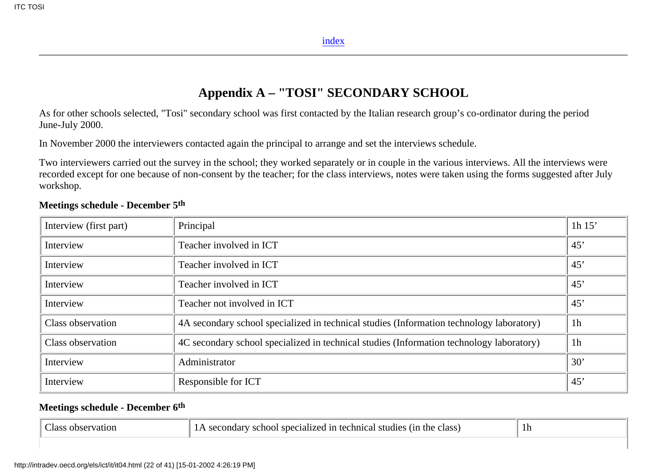#### **Appendix A – "TOSI" SECONDARY SCHOOL**

<span id="page-21-0"></span>As for other schools selected, "Tosi" secondary school was first contacted by the Italian research group's co-ordinator during the period June-July 2000.

In November 2000 the interviewers contacted again the principal to arrange and set the interviews schedule.

Two interviewers carried out the survey in the school; they worked separately or in couple in the various interviews. All the interviews were recorded except for one because of non-consent by the teacher; for the class interviews, notes were taken using the forms suggested after July workshop.

| Interview (first part) | Principal                                                                                | 1h $15'$       |
|------------------------|------------------------------------------------------------------------------------------|----------------|
| Interview              | Teacher involved in ICT                                                                  | 45'            |
| Interview              | Teacher involved in ICT                                                                  | 45'            |
| Interview              | Teacher involved in ICT                                                                  | 45'            |
| Interview              | Teacher not involved in ICT                                                              | 45'            |
| Class observation      | 4A secondary school specialized in technical studies (Information technology laboratory) | 1 <sub>h</sub> |
| Class observation      | 4C secondary school specialized in technical studies (Information technology laboratory) | 1 <sub>h</sub> |
| Interview              | Administrator                                                                            | 30'            |
| Interview              | Responsible for ICT                                                                      | 45'            |

#### **Meetings schedule - December 5th**

#### **Meetings schedule - December 6th**

| speo<br>. / 1 O 1 ** -<br>chnica.<br>- TV<br>the<br>≅≏hr…<br>- STP<br>ndie<br>class<br>Tass<br>zation<br>etal1zeg<br>JOL.<br>. re $\sim$<br>$\overline{ }$<br>опаа<br>. |  |
|-------------------------------------------------------------------------------------------------------------------------------------------------------------------------|--|
|-------------------------------------------------------------------------------------------------------------------------------------------------------------------------|--|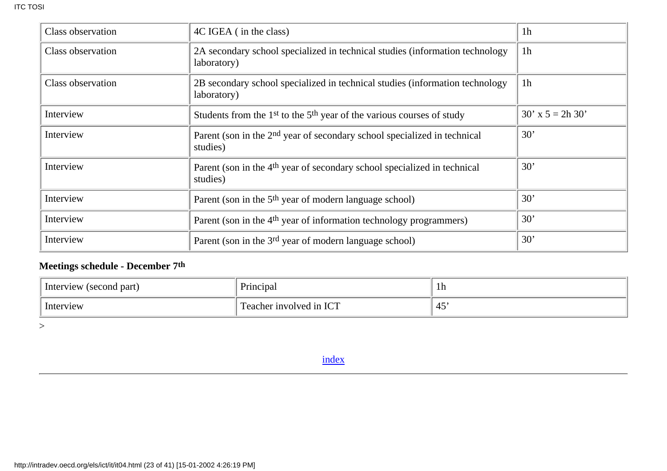| Class observation | 4C IGEA (in the class)                                                                           | 1 <sub>h</sub>     |
|-------------------|--------------------------------------------------------------------------------------------------|--------------------|
| Class observation | 2A secondary school specialized in technical studies (information technology<br>laboratory)      | 1 <sub>h</sub>     |
| Class observation | 2B secondary school specialized in technical studies (information technology<br>laboratory)      | 1 <sub>h</sub>     |
| Interview         | Students from the 1 <sup>st</sup> to the 5 <sup>th</sup> year of the various courses of study    | $30'$ x 5 = 2h 30' |
| Interview         | Parent (son in the 2 <sup>nd</sup> year of secondary school specialized in technical<br>studies) | 30'                |
| Interview         | Parent (son in the 4 <sup>th</sup> year of secondary school specialized in technical<br>studies) | 30'                |
| Interview         | Parent (son in the 5 <sup>th</sup> year of modern language school)                               | 30'                |
| Interview         | Parent (son in the 4 <sup>th</sup> year of information technology programmers)                   | 30'                |
| Interview         | Parent (son in the 3 <sup>rd</sup> year of modern language school)                               | 30'                |

## **Meetings schedule - December 7th**

| Interview<br>(second part) | Principal                        | 1h                            |
|----------------------------|----------------------------------|-------------------------------|
| Interview                  | ICT<br>cher involved in .<br>eac | $\overline{\phantom{0}}$<br>ு |

<span id="page-22-0"></span> $\,>$ 

[index](#page-0-1)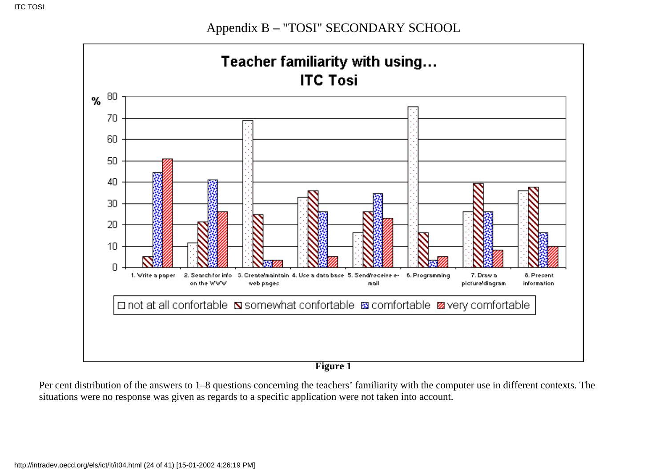Appendix B **–** "TOSI" SECONDARY SCHOOL



**Figure 1**

Per cent distribution of the answers to 1–8 questions concerning the teachers' familiarity with the computer use in different contexts. The situations were no response was given as regards to a specific application were not taken into account.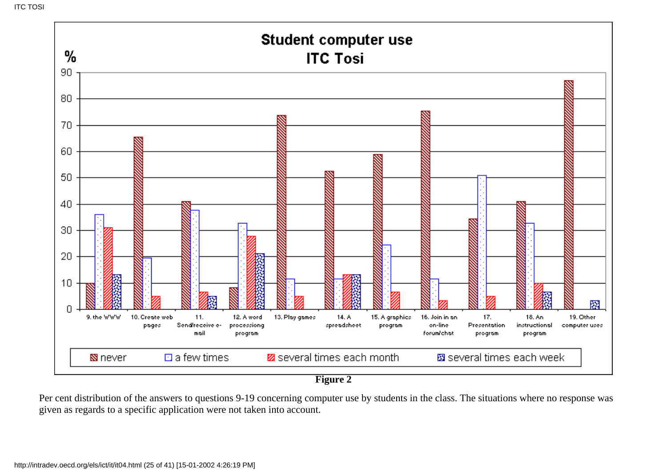

Per cent distribution of the answers to questions 9-19 concerning computer use by students in the class. The situations where no response was given as regards to a specific application were not taken into account.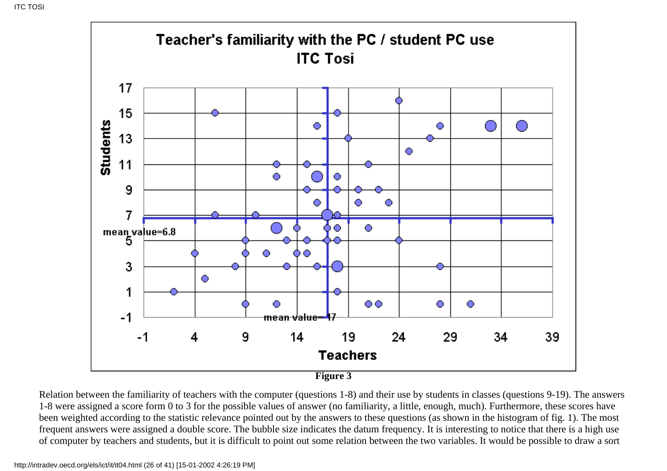

Relation between the familiarity of teachers with the computer (questions 1-8) and their use by students in classes (questions 9-19). The answers 1-8 were assigned a score form 0 to 3 for the possible values of answer (no familiarity, a little, enough, much). Furthermore, these scores have been weighted according to the statistic relevance pointed out by the answers to these questions (as shown in the histogram of fig. 1). The most frequent answers were assigned a double score. The bubble size indicates the datum frequency. It is interesting to notice that there is a high use of computer by teachers and students, but it is difficult to point out some relation between the two variables. It would be possible to draw a sort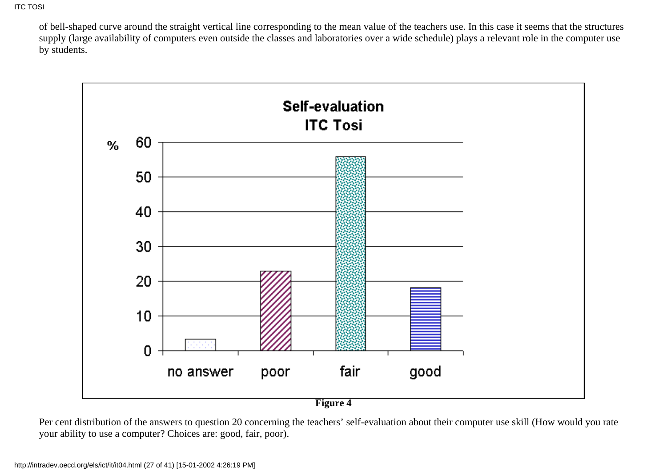of bell-shaped curve around the straight vertical line corresponding to the mean value of the teachers use. In this case it seems that the structures supply (large availability of computers even outside the classes and laboratories over a wide schedule) plays a relevant role in the computer use by students.



Per cent distribution of the answers to question 20 concerning the teachers' self-evaluation about their computer use skill (How would you rate your ability to use a computer? Choices are: good, fair, poor).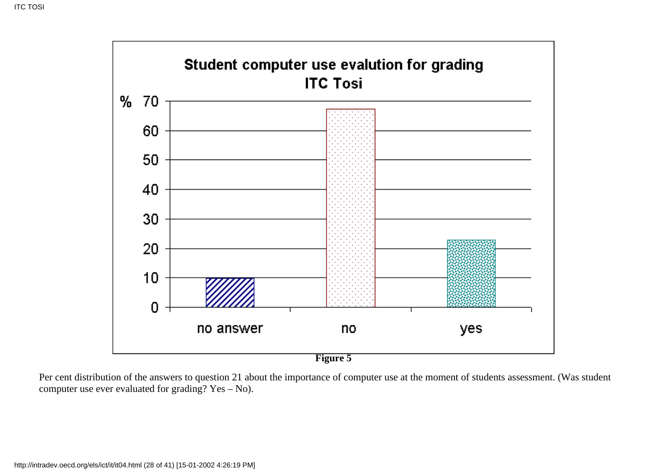

Per cent distribution of the answers to question 21 about the importance of computer use at the moment of students assessment. (Was student computer use ever evaluated for grading? Yes – No).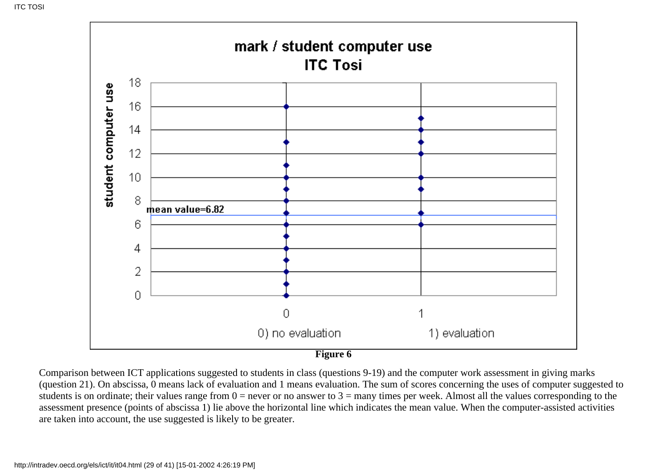

Comparison between ICT applications suggested to students in class (questions 9-19) and the computer work assessment in giving marks (question 21). On abscissa, 0 means lack of evaluation and 1 means evaluation. The sum of scores concerning the uses of computer suggested to students is on ordinate; their values range from  $0 =$  never or no answer to  $3 =$  many times per week. Almost all the values corresponding to the assessment presence (points of abscissa 1) lie above the horizontal line which indicates the mean value. When the computer-assisted activities are taken into account, the use suggested is likely to be greater.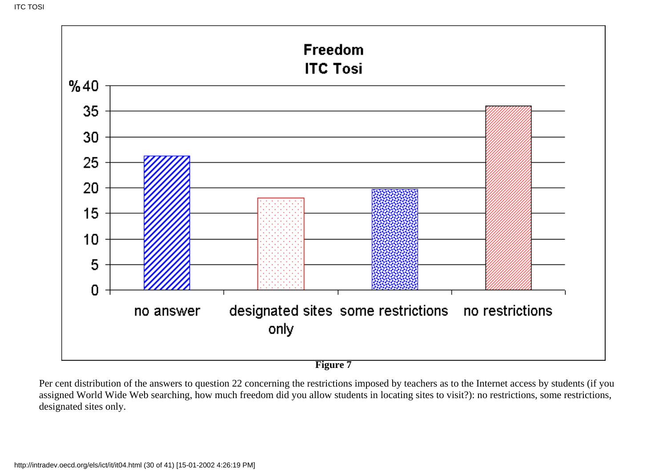

Per cent distribution of the answers to question 22 concerning the restrictions imposed by teachers as to the Internet access by students (if you assigned World Wide Web searching, how much freedom did you allow students in locating sites to visit?): no restrictions, some restrictions, designated sites only.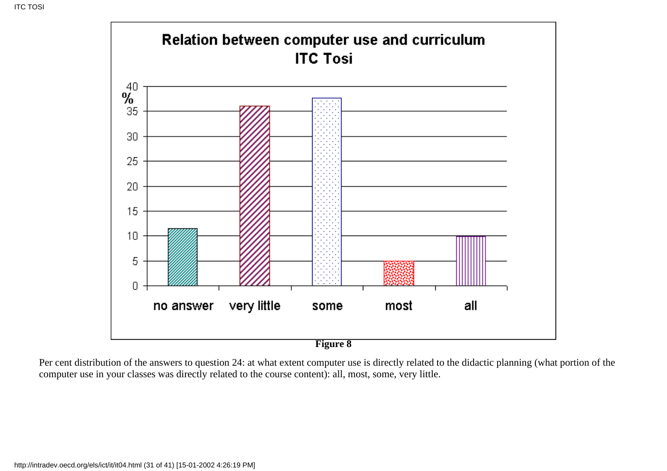

Per cent distribution of the answers to question 24: at what extent computer use is directly related to the didactic planning (what portion of the computer use in your classes was directly related to the course content): all, most, some, very little.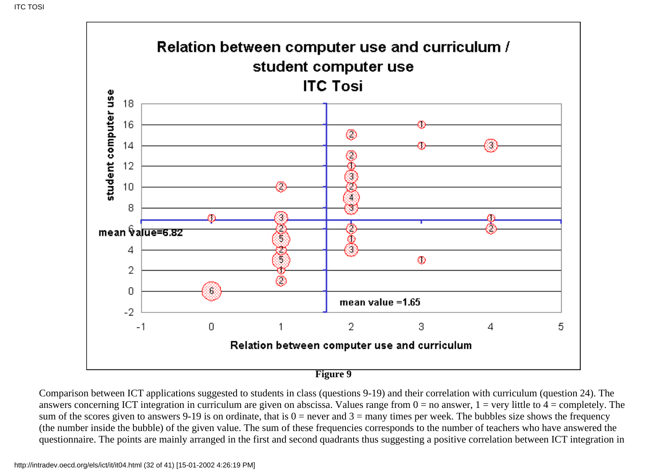

Comparison between ICT applications suggested to students in class (questions 9-19) and their correlation with curriculum (question 24). The answers concerning ICT integration in curriculum are given on abscissa. Values range from  $0 =$  no answer,  $1 =$  very little to  $4 =$  completely. The sum of the scores given to answers 9-19 is on ordinate, that is  $0 =$  never and  $3 =$  many times per week. The bubbles size shows the frequency (the number inside the bubble) of the given value. The sum of these frequencies corresponds to the number of teachers who have answered the questionnaire. The points are mainly arranged in the first and second quadrants thus suggesting a positive correlation between ICT integration in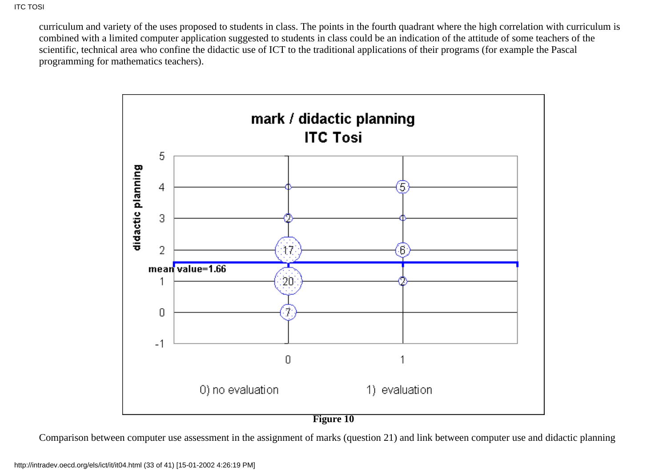curriculum and variety of the uses proposed to students in class. The points in the fourth quadrant where the high correlation with curriculum is combined with a limited computer application suggested to students in class could be an indication of the attitude of some teachers of the scientific, technical area who confine the didactic use of ICT to the traditional applications of their programs (for example the Pascal programming for mathematics teachers).



Comparison between computer use assessment in the assignment of marks (question 21) and link between computer use and didactic planning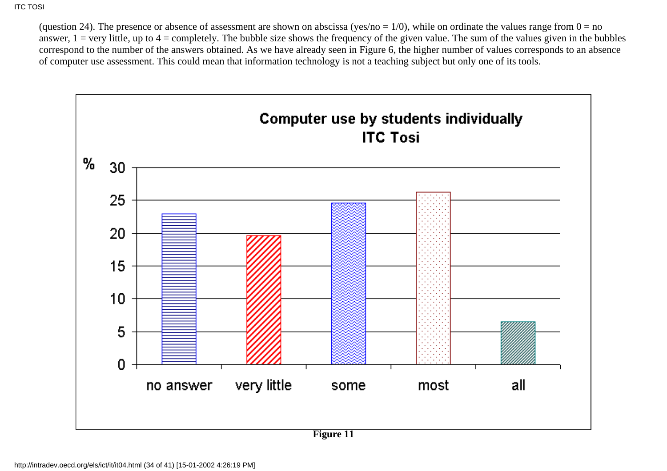(question 24). The presence or absence of assessment are shown on abscissa (yes/no =  $1/0$ ), while on ordinate the values range from  $0 = no$ answer,  $1 = \text{very little, up to } 4 = \text{completely.}$  The bubble size shows the frequency of the given value. The sum of the values given in the bubbles correspond to the number of the answers obtained. As we have already seen in Figure 6, the higher number of values corresponds to an absence of computer use assessment. This could mean that information technology is not a teaching subject but only one of its tools.

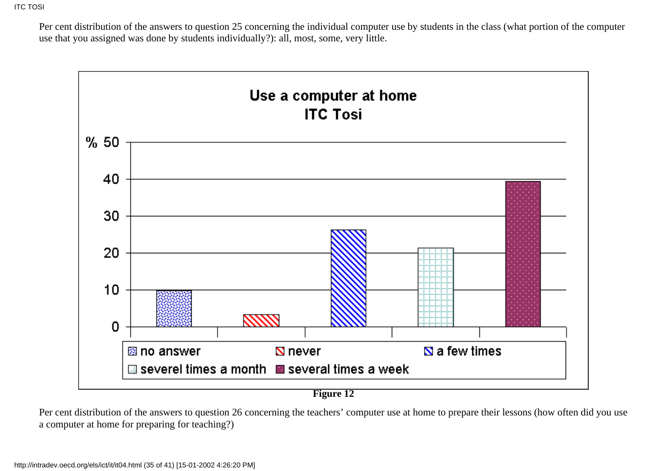Per cent distribution of the answers to question 25 concerning the individual computer use by students in the class (what portion of the computer use that you assigned was done by students individually?): all, most, some, very little.



Per cent distribution of the answers to question 26 concerning the teachers' computer use at home to prepare their lessons (how often did you use a computer at home for preparing for teaching?)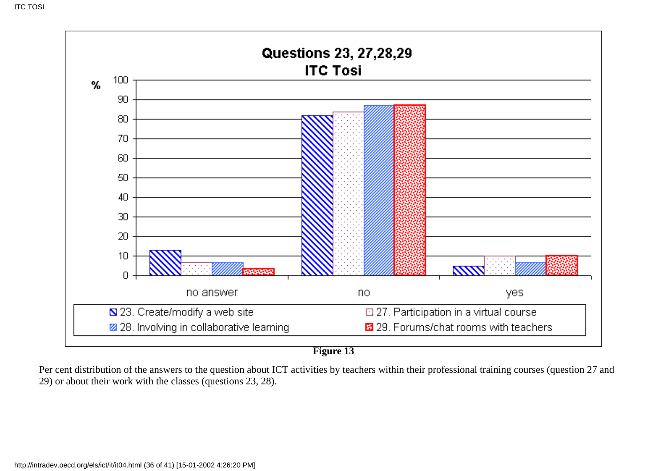

**Figure 13**

Per cent distribution of the answers to the question about ICT activities by teachers within their professional training courses (question 27 and 29) or about their work with the classes (questions 23, 28).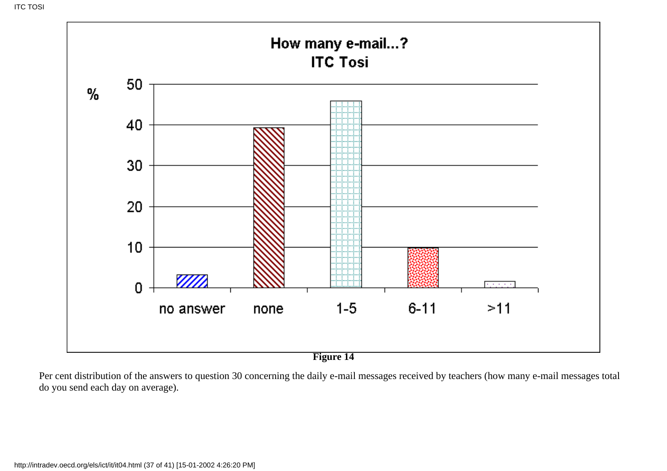

**Figure 14**

Per cent distribution of the answers to question 30 concerning the daily e-mail messages received by teachers (how many e-mail messages total do you send each day on average).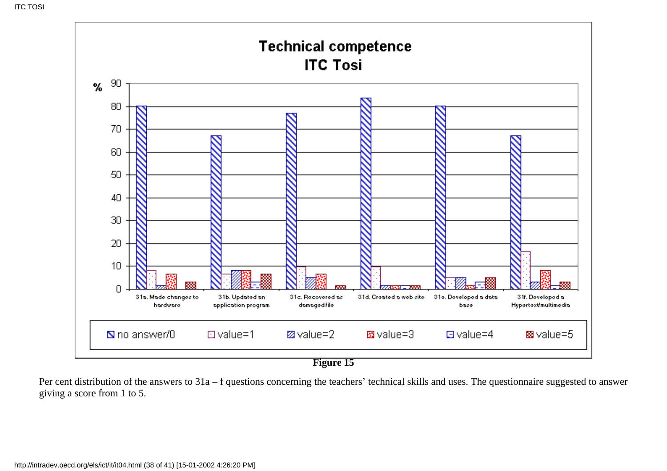

**Figure 15**

Per cent distribution of the answers to 31a – f questions concerning the teachers' technical skills and uses. The questionnaire suggested to answer giving a score from 1 to 5.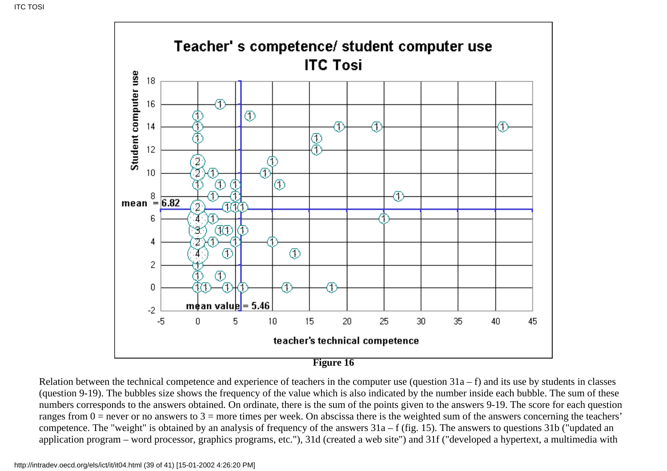

Relation between the technical competence and experience of teachers in the computer use (question  $31a - f$ ) and its use by students in classes (question 9-19). The bubbles size shows the frequency of the value which is also indicated by the number inside each bubble. The sum of these numbers corresponds to the answers obtained. On ordinate, there is the sum of the points given to the answers 9-19. The score for each question ranges from  $0 =$  never or no answers to  $3 =$  more times per week. On abscissa there is the weighted sum of the answers concerning the teachers' competence. The "weight" is obtained by an analysis of frequency of the answers 31a – f (fig. 15). The answers to questions 31b ("updated an application program – word processor, graphics programs, etc."), 31d (created a web site") and 31f ("developed a hypertext, a multimedia with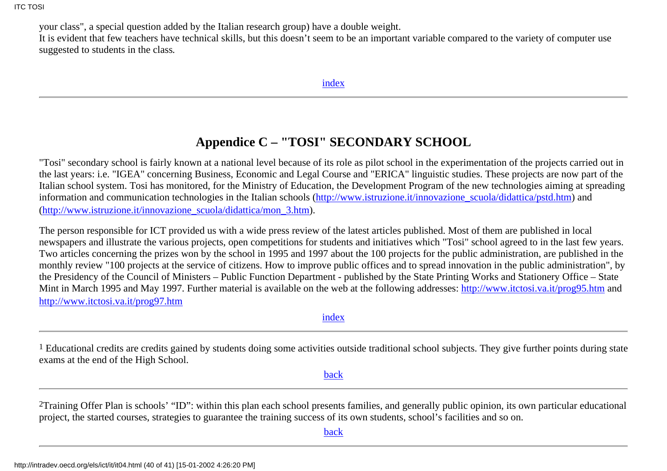your class", a special question added by the Italian research group) have a double weight.

It is evident that few teachers have technical skills, but this doesn't seem to be an important variable compared to the variety of computer use suggested to students in the class*.*

## **Appendice C – "TOSI" SECONDARY SCHOOL**

<span id="page-39-0"></span>"Tosi" secondary school is fairly known at a national level because of its role as pilot school in the experimentation of the projects carried out in the last years: i.e. "IGEA" concerning Business, Economic and Legal Course and "ERICA" linguistic studies. These projects are now part of the Italian school system. Tosi has monitored, for the Ministry of Education, the Development Program of the new technologies aiming at spreading information and communication technologies in the Italian schools ([http://www.istruzione.it/innovazione\\_scuola/didattica/pstd.htm\)](http://www.istruzione.it/innovazione_scuola/didattica/pstd.htm) and ([http://www.istruzione.it/innovazione\\_scuola/didattica/mon\\_3.htm\)](http://www.istruzione.it/innovazione_scuola/didattica/mon_3.htm).

The person responsible for ICT provided us with a wide press review of the latest articles published. Most of them are published in local newspapers and illustrate the various projects, open competitions for students and initiatives which "Tosi" school agreed to in the last few years. Two articles concerning the prizes won by the school in 1995 and 1997 about the 100 projects for the public administration, are published in the monthly review "100 projects at the service of citizens. How to improve public offices and to spread innovation in the public administration", by the Presidency of the Council of Ministers – Public Function Department - published by the State Printing Works and Stationery Office – State Mint in March 1995 and May 1997. Further material is available on the web at the following addresses:<http://www.itctosi.va.it/prog95.htm> and <http://www.itctosi.va.it/prog97.htm>

[index](#page-0-1)

<span id="page-39-1"></span><sup>1</sup> Educational credits are credits gained by students doing some activities outside traditional school subjects. They give further points during state exams at the end of the High School.

[back](#page-3-0)

<span id="page-39-2"></span><sup>2</sup>Training Offer Plan is schools' "ID": within this plan each school presents families, and generally public opinion, its own particular educational project, the started courses, strategies to guarantee the training success of its own students, school's facilities and so on.

[back](#page-8-0)